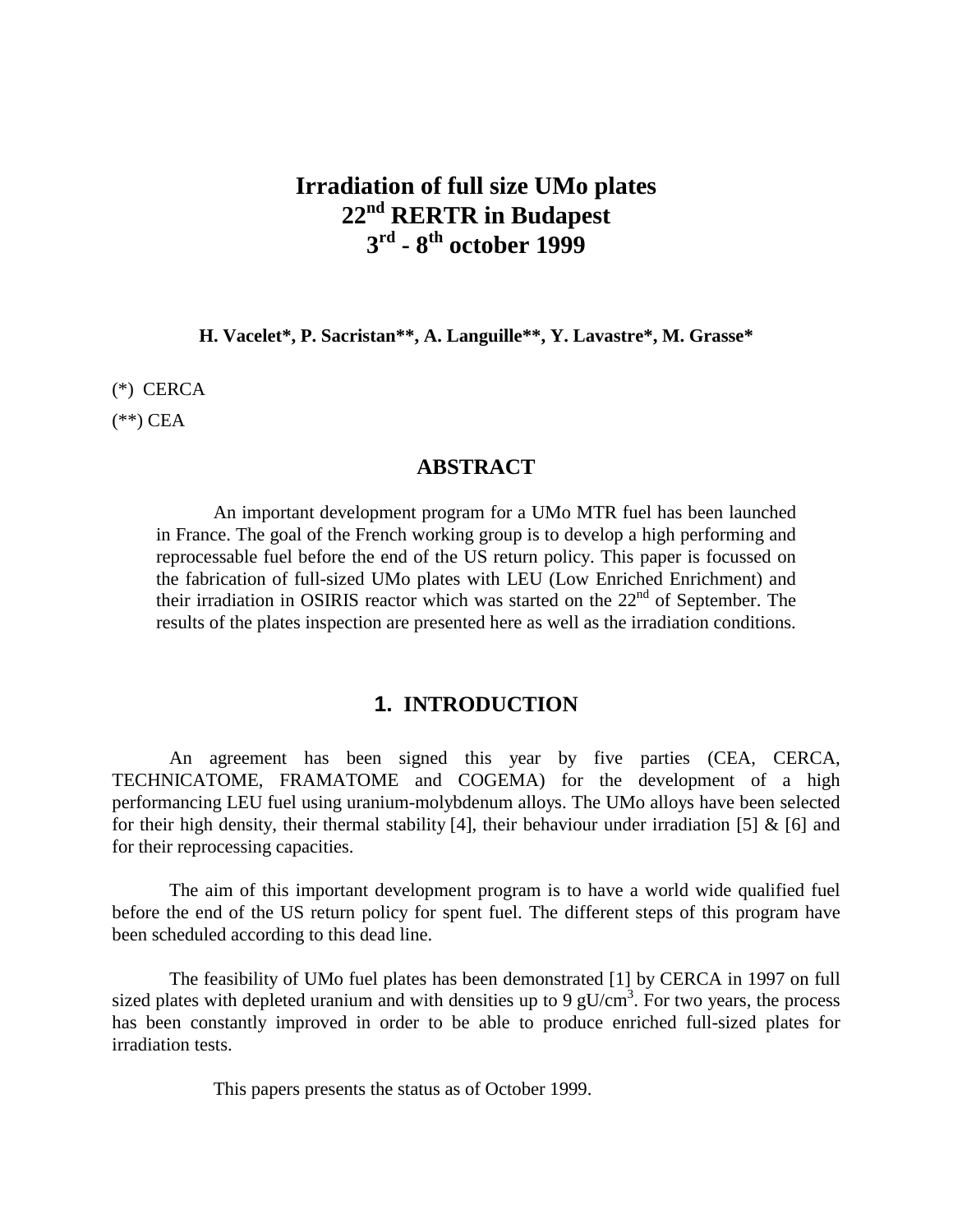# **Irradiation of full size UMo plates 22nd RERTR in Budapest 3rd - 8th october 1999**

**H. Vacelet\*, P. Sacristan\*\*, A. Languille\*\*, Y. Lavastre\*, M. Grasse\***

(\*) CERCA

 $(**)$  CEA

#### **ABSTRACT**

An important development program for a UMo MTR fuel has been launched in France. The goal of the French working group is to develop a high performing and reprocessable fuel before the end of the US return policy. This paper is focussed on the fabrication of full-sized UMo plates with LEU (Low Enriched Enrichment) and their irradiation in OSIRIS reactor which was started on the  $22<sup>nd</sup>$  of September. The results of the plates inspection are presented here as well as the irradiation conditions.

### **1. INTRODUCTION**

An agreement has been signed this year by five parties (CEA, CERCA, TECHNICATOME, FRAMATOME and COGEMA) for the development of a high performancing LEU fuel using uranium-molybdenum alloys. The UMo alloys have been selected for their high density, their thermal stability [4], their behaviour under irradiation [5]  $\&$  [6] and for their reprocessing capacities.

The aim of this important development program is to have a world wide qualified fuel before the end of the US return policy for spent fuel. The different steps of this program have been scheduled according to this dead line.

The feasibility of UMo fuel plates has been demonstrated [1] by CERCA in 1997 on full sized plates with depleted uranium and with densities up to 9  $gU/cm<sup>3</sup>$ . For two years, the process has been constantly improved in order to be able to produce enriched full-sized plates for irradiation tests.

This papers presents the status as of October 1999.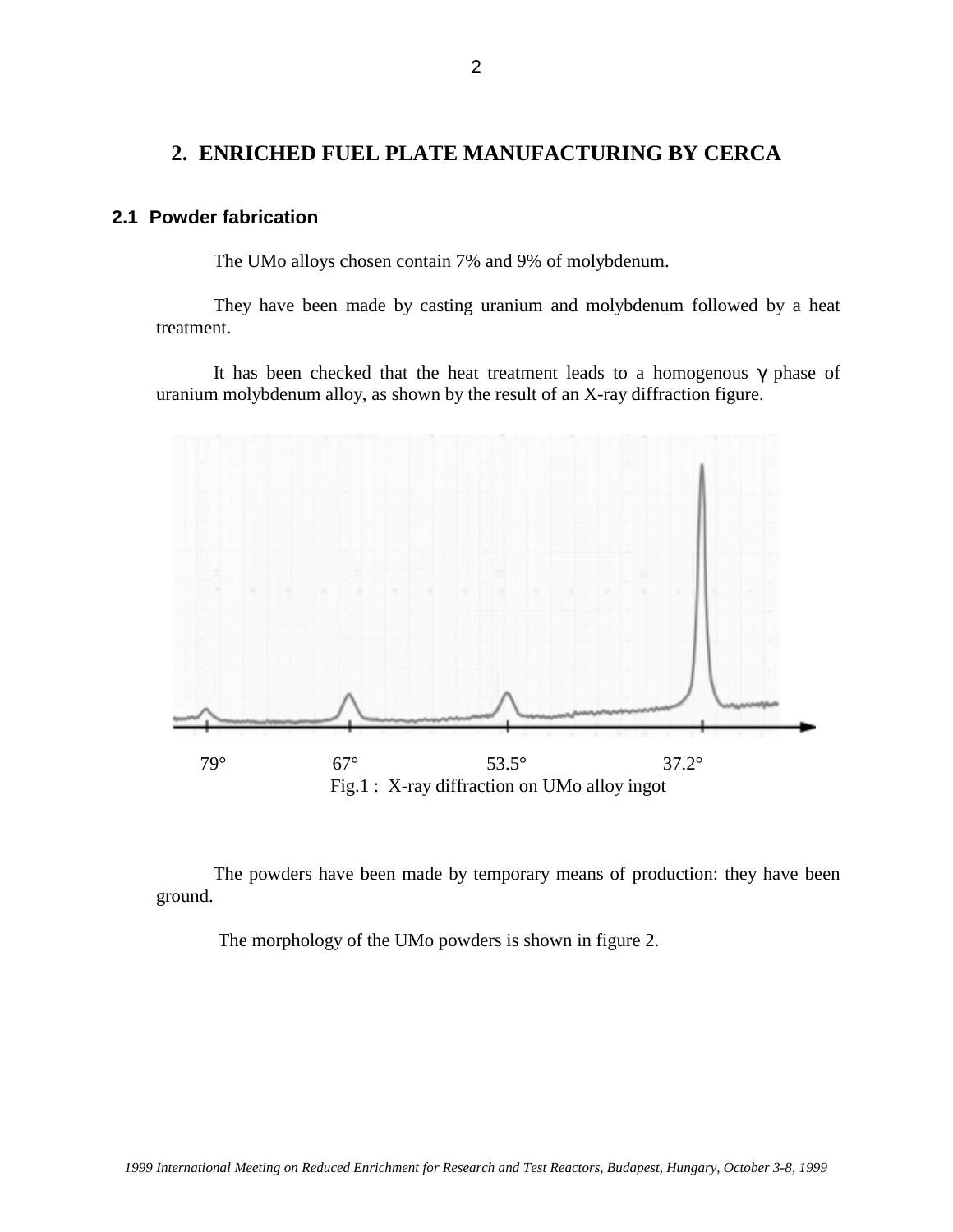## **2. ENRICHED FUEL PLATE MANUFACTURING BY CERCA**

### **2.1 Powder fabrication**

The UMo alloys chosen contain 7% and 9% of molybdenum.

They have been made by casting uranium and molybdenum followed by a heat treatment.

It has been checked that the heat treatment leads to a homogenous  $\gamma$  phase of uranium molybdenum alloy, as shown by the result of an X-ray diffraction figure.



The powders have been made by temporary means of production: they have been ground.

The morphology of the UMo powders is shown in figure 2.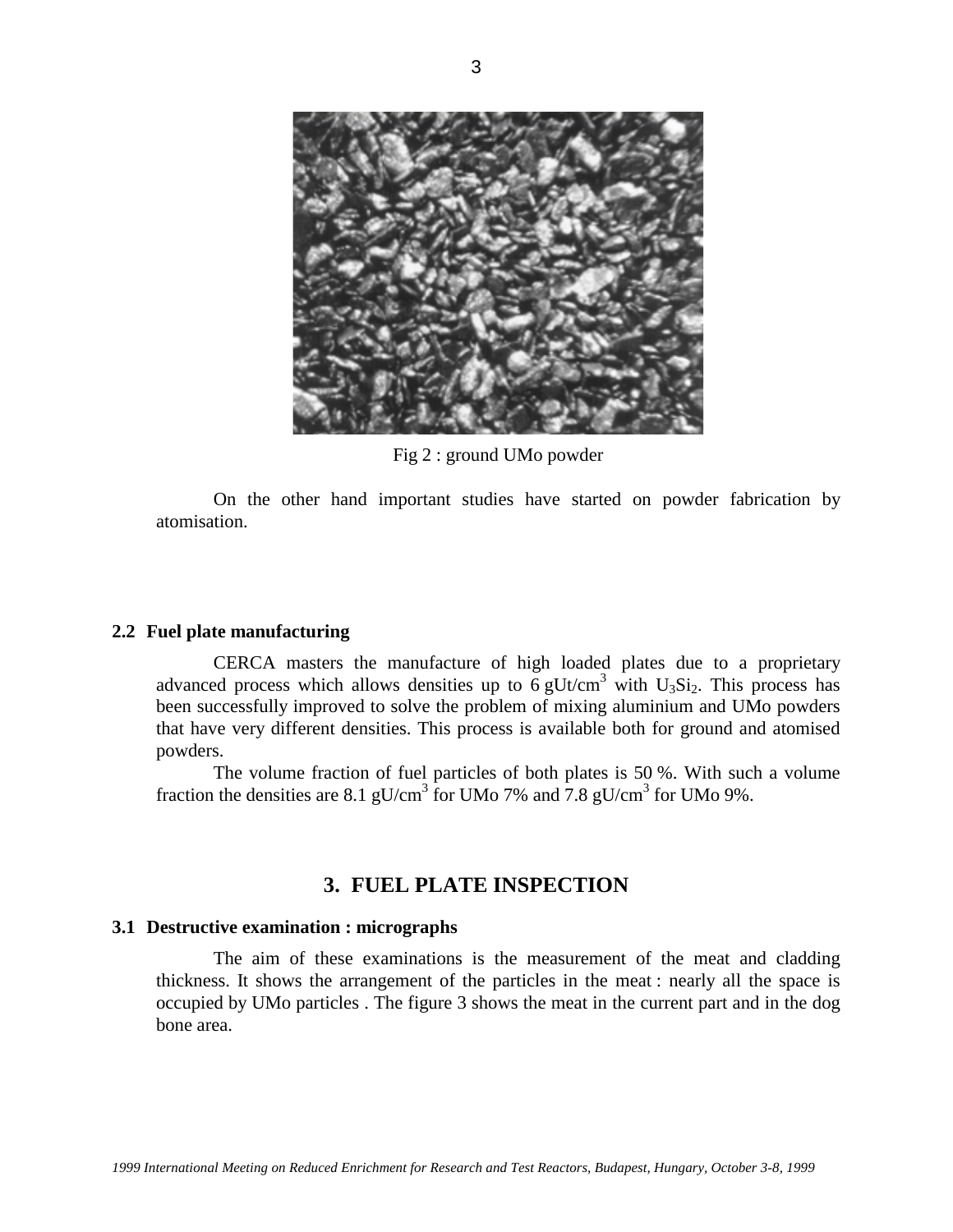

Fig 2 : ground UMo powder

On the other hand important studies have started on powder fabrication by atomisation.

#### **2.2 Fuel plate manufacturing**

CERCA masters the manufacture of high loaded plates due to a proprietary advanced process which allows densities up to  $6$  gUt/cm<sup>3</sup> with U<sub>3</sub>Si<sub>2</sub>. This process has been successfully improved to solve the problem of mixing aluminium and UMo powders that have very different densities. This process is available both for ground and atomised powders.

The volume fraction of fuel particles of both plates is 50 %. With such a volume fraction the densities are 8.1 gU/cm<sup>3</sup> for UMo 7% and 7.8 gU/cm<sup>3</sup> for UMo 9%.

## **3. FUEL PLATE INSPECTION**

#### **3.1 Destructive examination : micrographs**

The aim of these examinations is the measurement of the meat and cladding thickness. It shows the arrangement of the particles in the meat : nearly all the space is occupied by UMo particles . The figure 3 shows the meat in the current part and in the dog bone area.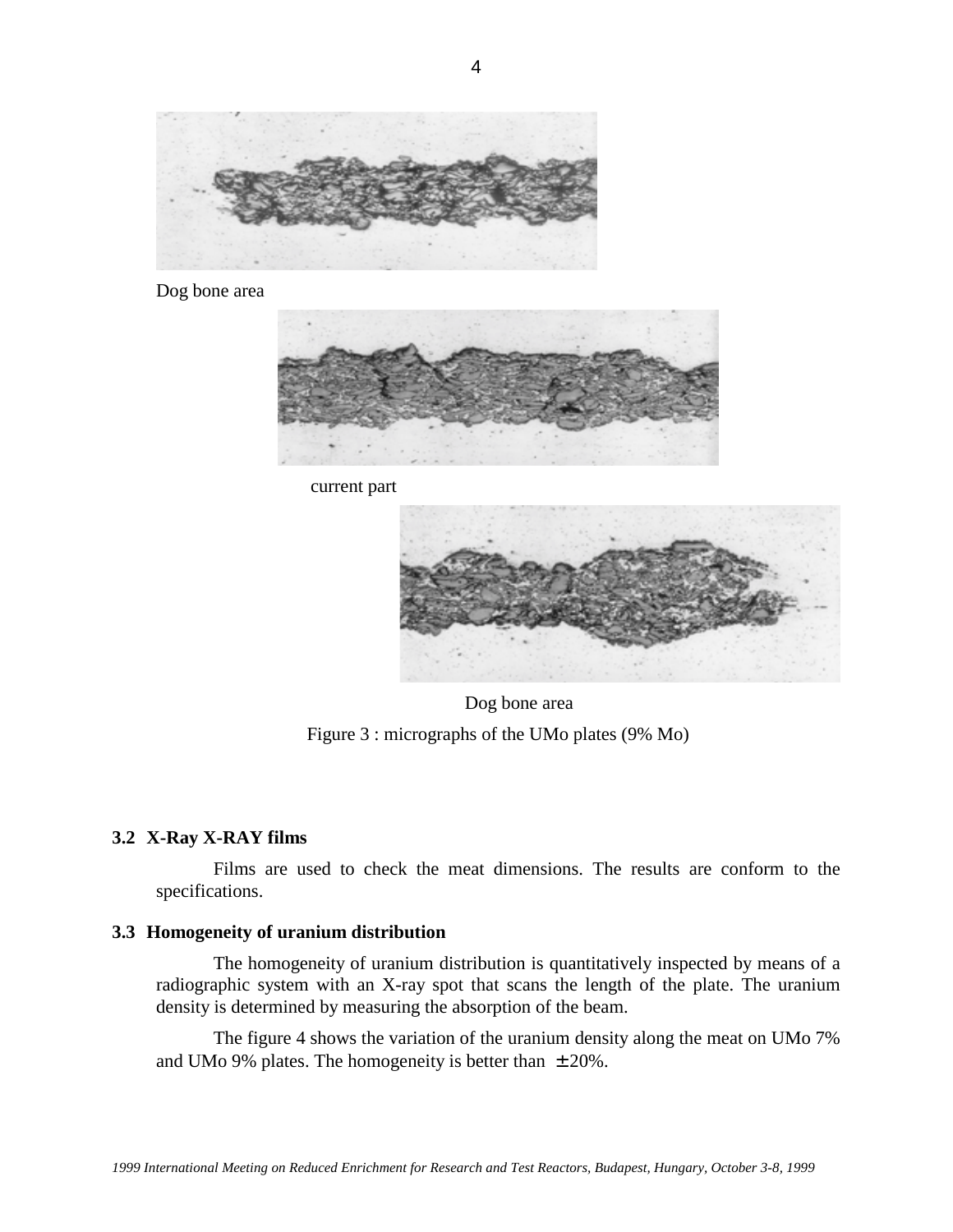

Dog bone area



current part



Dog bone area Figure 3 : micrographs of the UMo plates (9% Mo)

### **3.2 X-Ray X-RAY films**

Films are used to check the meat dimensions. The results are conform to the specifications.

### **3.3 Homogeneity of uranium distribution**

The homogeneity of uranium distribution is quantitatively inspected by means of a radiographic system with an X-ray spot that scans the length of the plate. The uranium density is determined by measuring the absorption of the beam.

The figure 4 shows the variation of the uranium density along the meat on UMo 7% and UMo 9% plates. The homogeneity is better than  $\pm 20\%$ .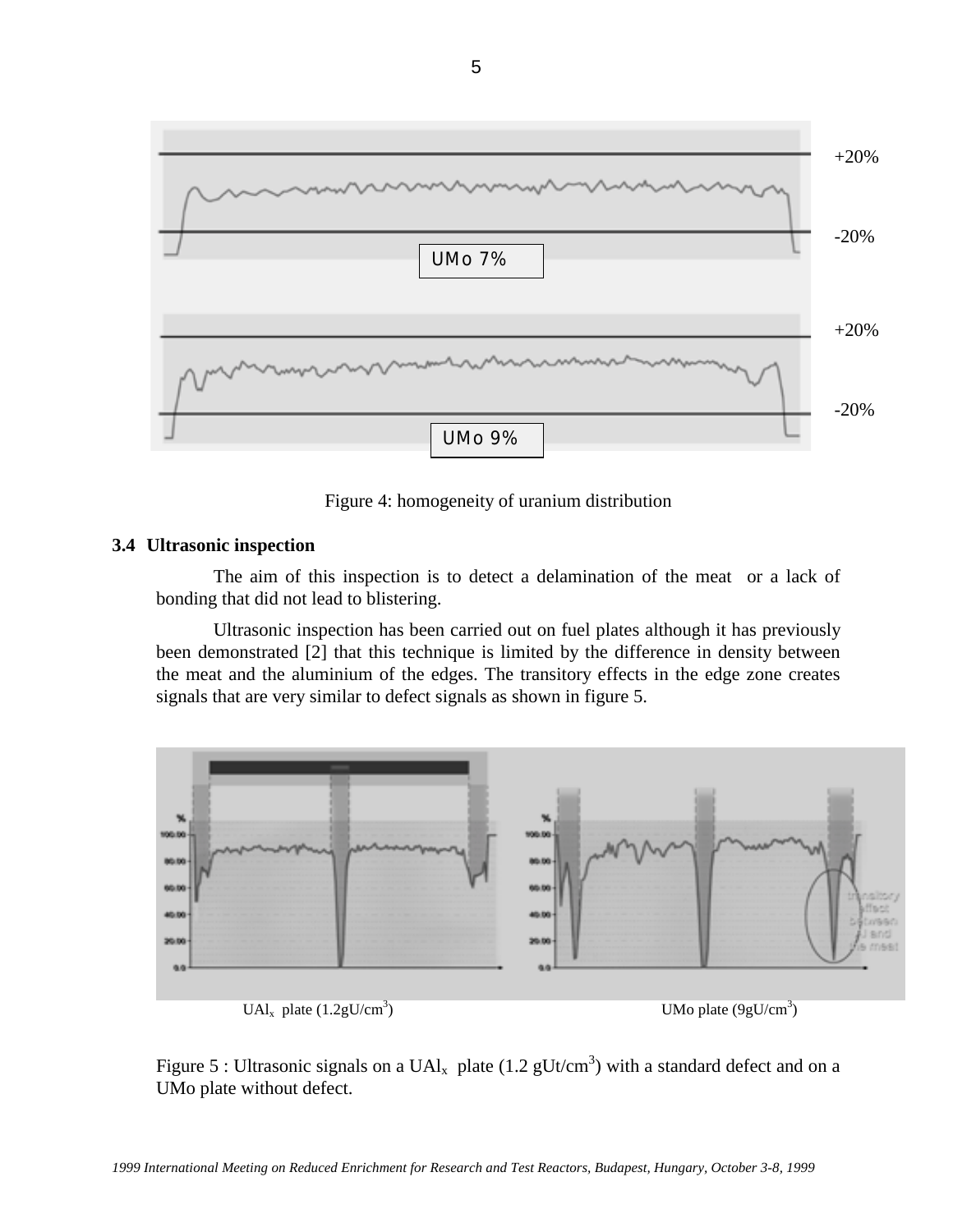

Figure 4: homogeneity of uranium distribution

#### **3.4 Ultrasonic inspection**

The aim of this inspection is to detect a delamination of the meat or a lack of bonding that did not lead to blistering.

Ultrasonic inspection has been carried out on fuel plates although it has previously been demonstrated [2] that this technique is limited by the difference in density between the meat and the aluminium of the edges. The transitory effects in the edge zone creates signals that are very similar to defect signals as shown in figure 5.



Figure 5 : Ultrasonic signals on a UAl<sub>x</sub> plate (1.2 gUt/cm<sup>3</sup>) with a standard defect and on a UMo plate without defect.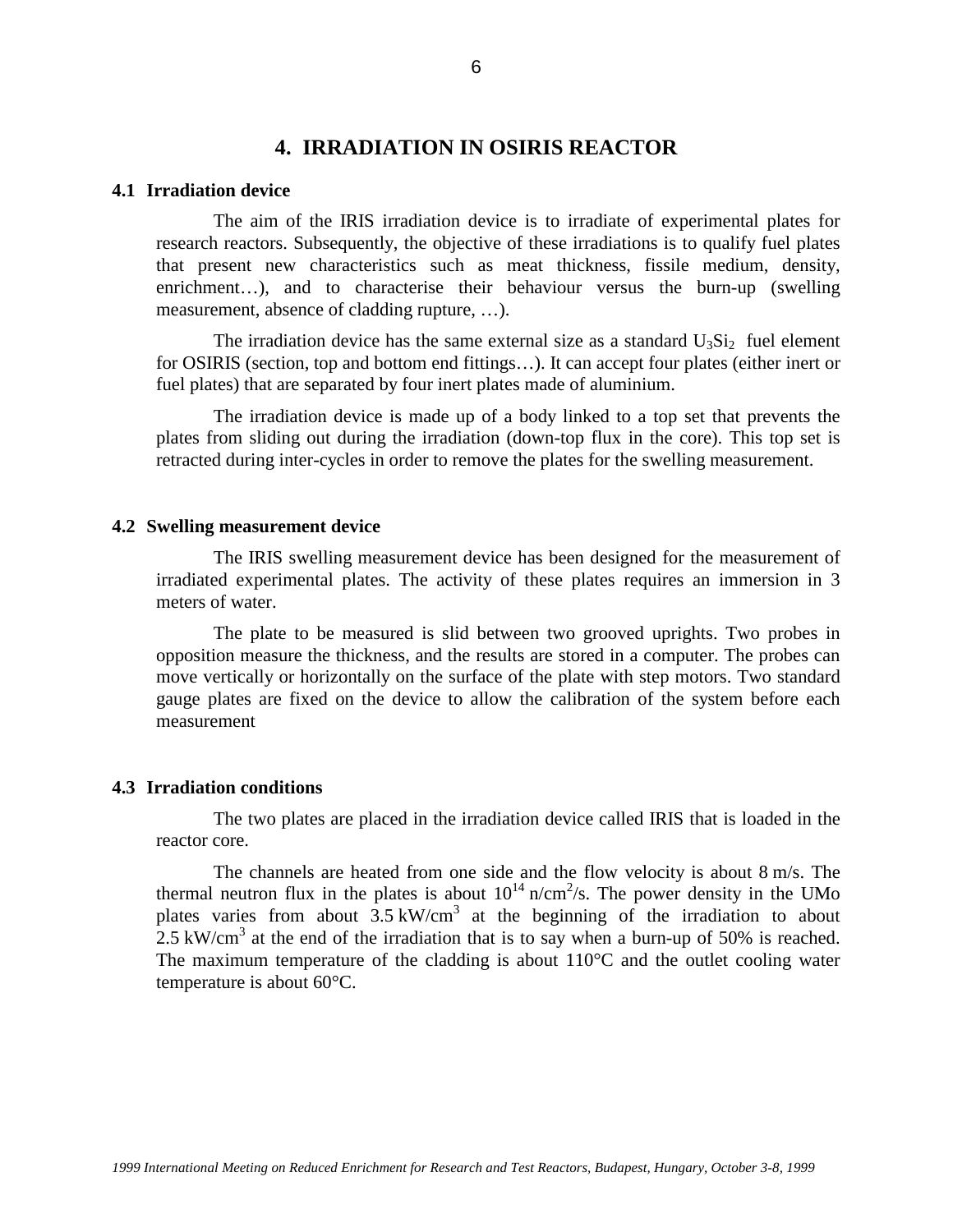# **4. IRRADIATION IN OSIRIS REACTOR**

#### **4.1 Irradiation device**

The aim of the IRIS irradiation device is to irradiate of experimental plates for research reactors. Subsequently, the objective of these irradiations is to qualify fuel plates that present new characteristics such as meat thickness, fissile medium, density, enrichment...), and to characterise their behaviour versus the burn-up (swelling measurement, absence of cladding rupture, …).

The irradiation device has the same external size as a standard  $U_3Si_2$  fuel element for OSIRIS (section, top and bottom end fittings…). It can accept four plates (either inert or fuel plates) that are separated by four inert plates made of aluminium.

The irradiation device is made up of a body linked to a top set that prevents the plates from sliding out during the irradiation (down-top flux in the core). This top set is retracted during inter-cycles in order to remove the plates for the swelling measurement.

#### **4.2 Swelling measurement device**

The IRIS swelling measurement device has been designed for the measurement of irradiated experimental plates. The activity of these plates requires an immersion in 3 meters of water.

The plate to be measured is slid between two grooved uprights. Two probes in opposition measure the thickness, and the results are stored in a computer. The probes can move vertically or horizontally on the surface of the plate with step motors. Two standard gauge plates are fixed on the device to allow the calibration of the system before each measurement

#### **4.3 Irradiation conditions**

The two plates are placed in the irradiation device called IRIS that is loaded in the reactor core.

The channels are heated from one side and the flow velocity is about 8 m/s. The thermal neutron flux in the plates is about  $10^{14}$  n/cm<sup>2</sup>/s. The power density in the UMo plates varies from about  $3.5 \text{ kW/cm}^3$  at the beginning of the irradiation to about 2.5 kW/cm<sup>3</sup> at the end of the irradiation that is to say when a burn-up of 50% is reached. The maximum temperature of the cladding is about  $110^{\circ}$ C and the outlet cooling water temperature is about 60°C.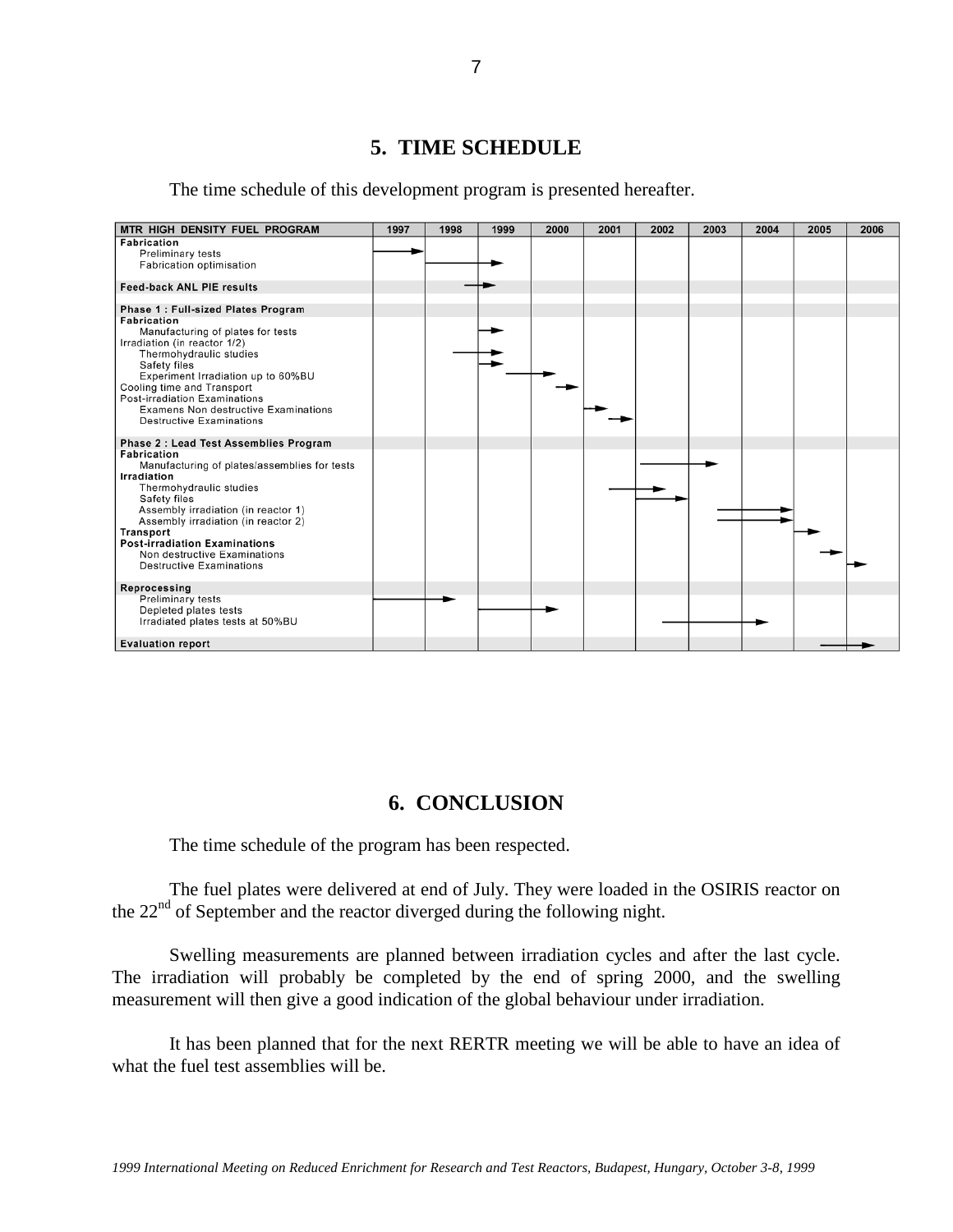# **5. TIME SCHEDULE**

The time schedule of this development program is presented hereafter.

| MTR HIGH DENSITY FUEL PROGRAM                      | 1997 | 1998 | 1999 | 2000 | 2001 | 2002 | 2003 | 2004 | 2005 | 2006 |
|----------------------------------------------------|------|------|------|------|------|------|------|------|------|------|
| <b>Fabrication</b>                                 |      |      |      |      |      |      |      |      |      |      |
| <b>Preliminary tests</b>                           |      |      |      |      |      |      |      |      |      |      |
| <b>Fabrication optimisation</b>                    |      |      |      |      |      |      |      |      |      |      |
| <b>Feed-back ANL PIE results</b>                   |      |      |      |      |      |      |      |      |      |      |
|                                                    |      |      |      |      |      |      |      |      |      |      |
| Phase 1: Full-sized Plates Program                 |      |      |      |      |      |      |      |      |      |      |
| <b>Fabrication</b>                                 |      |      |      |      |      |      |      |      |      |      |
| Manufacturing of plates for tests                  |      |      |      |      |      |      |      |      |      |      |
| Irradiation (in reactor 1/2)                       |      |      |      |      |      |      |      |      |      |      |
| Thermohydraulic studies                            |      |      |      |      |      |      |      |      |      |      |
| Safety files<br>Experiment Irradiation up to 60%BU |      |      |      |      |      |      |      |      |      |      |
| Cooling time and Transport                         |      |      |      |      |      |      |      |      |      |      |
| <b>Post-irradiation Examinations</b>               |      |      |      |      |      |      |      |      |      |      |
| <b>Examens Non destructive Examinations</b>        |      |      |      |      |      |      |      |      |      |      |
| <b>Destructive Examinations</b>                    |      |      |      |      |      |      |      |      |      |      |
|                                                    |      |      |      |      |      |      |      |      |      |      |
| Phase 2: Lead Test Assemblies Program              |      |      |      |      |      |      |      |      |      |      |
| <b>Fabrication</b>                                 |      |      |      |      |      |      |      |      |      |      |
| Manufacturing of plates/assemblies for tests       |      |      |      |      |      |      |      |      |      |      |
| Irradiation                                        |      |      |      |      |      |      |      |      |      |      |
| Thermohydraulic studies<br>Safety files            |      |      |      |      |      |      |      |      |      |      |
| Assembly irradiation (in reactor 1)                |      |      |      |      |      |      |      |      |      |      |
| Assembly irradiation (in reactor 2)                |      |      |      |      |      |      |      |      |      |      |
| Transport                                          |      |      |      |      |      |      |      |      |      |      |
| <b>Post-irradiation Examinations</b>               |      |      |      |      |      |      |      |      |      |      |
| Non destructive Examinations                       |      |      |      |      |      |      |      |      |      |      |
| <b>Destructive Examinations</b>                    |      |      |      |      |      |      |      |      |      |      |
| Reprocessing                                       |      |      |      |      |      |      |      |      |      |      |
| <b>Preliminary tests</b>                           |      |      |      |      |      |      |      |      |      |      |
| Depleted plates tests                              |      |      |      |      |      |      |      |      |      |      |
| Irradiated plates tests at 50%BU                   |      |      |      |      |      |      |      |      |      |      |
|                                                    |      |      |      |      |      |      |      |      |      |      |
| <b>Evaluation report</b>                           |      |      |      |      |      |      |      |      |      |      |

## **6. CONCLUSION**

The time schedule of the program has been respected.

The fuel plates were delivered at end of July. They were loaded in the OSIRIS reactor on the 22<sup>nd</sup> of September and the reactor diverged during the following night.

Swelling measurements are planned between irradiation cycles and after the last cycle. The irradiation will probably be completed by the end of spring 2000, and the swelling measurement will then give a good indication of the global behaviour under irradiation.

It has been planned that for the next RERTR meeting we will be able to have an idea of what the fuel test assemblies will be.